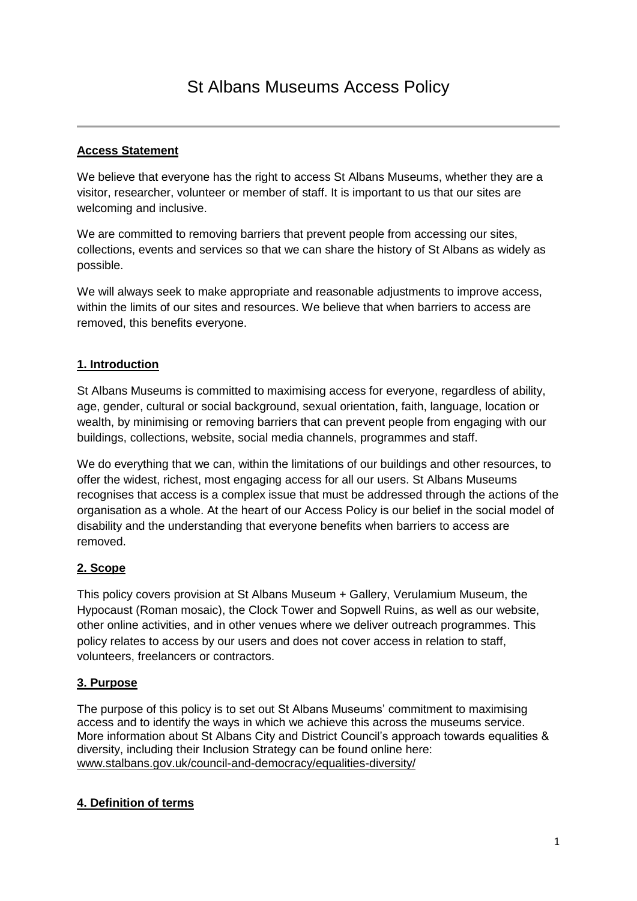## **Access Statement**

We believe that everyone has the right to access St Albans Museums, whether they are a visitor, researcher, volunteer or member of staff. It is important to us that our sites are welcoming and inclusive.

We are committed to removing barriers that prevent people from accessing our sites, collections, events and services so that we can share the history of St Albans as widely as possible.

We will always seek to make appropriate and reasonable adjustments to improve access, within the limits of our sites and resources. We believe that when barriers to access are removed, this benefits everyone.

# **1. Introduction**

St Albans Museums is committed to maximising access for everyone, regardless of ability, age, gender, cultural or social background, sexual orientation, faith, language, location or wealth, by minimising or removing barriers that can prevent people from engaging with our buildings, collections, website, social media channels, programmes and staff.

We do everything that we can, within the limitations of our buildings and other resources, to offer the widest, richest, most engaging access for all our users. St Albans Museums recognises that access is a complex issue that must be addressed through the actions of the organisation as a whole. At the heart of our Access Policy is our belief in the social model of disability and the understanding that everyone benefits when barriers to access are removed.

## **2. Scope**

This policy covers provision at St Albans Museum + Gallery, Verulamium Museum, the Hypocaust (Roman mosaic), the Clock Tower and Sopwell Ruins, as well as our website, other online activities, and in other venues where we deliver outreach programmes. This policy relates to access by our users and does not cover access in relation to staff, volunteers, freelancers or contractors.

# **3. Purpose**

The purpose of this policy is to set out St Albans Museums' commitment to maximising access and to identify the ways in which we achieve this across the museums service. More information about St Albans City and District Council's approach towards equalities & diversity, including their Inclusion Strategy can be found online here: [www.stalbans.gov.uk/council-and-democracy/equalities-diversity/](http://www.stalbans.gov.uk/council-and-democracy/equalities-diversity/)

## **4. Definition of terms**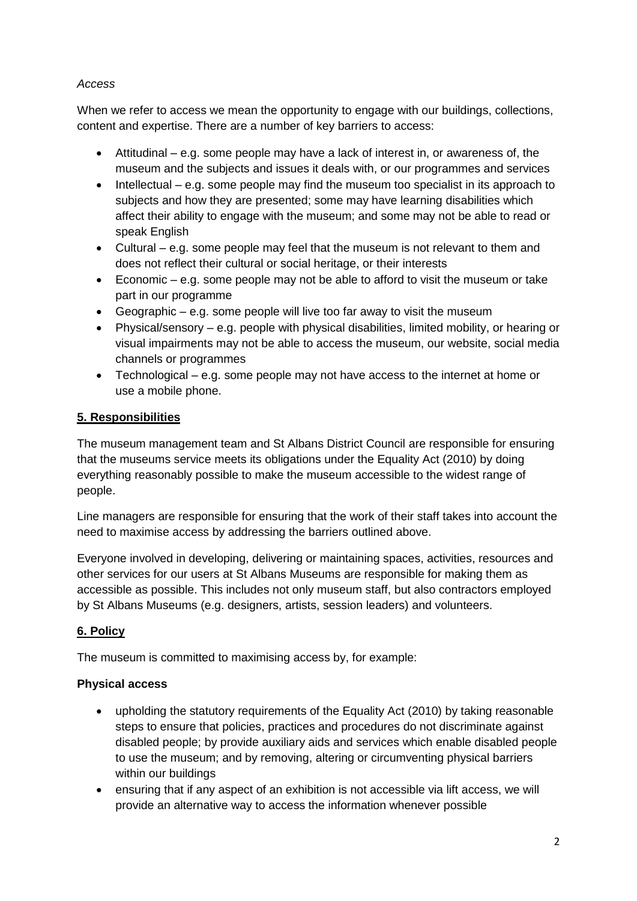# *Access*

When we refer to access we mean the opportunity to engage with our buildings, collections, content and expertise. There are a number of key barriers to access:

- Attitudinal e.g. some people may have a lack of interest in, or awareness of, the museum and the subjects and issues it deals with, or our programmes and services
- Intellectual e.g. some people may find the museum too specialist in its approach to subjects and how they are presented; some may have learning disabilities which affect their ability to engage with the museum; and some may not be able to read or speak English
- Cultural e.g. some people may feel that the museum is not relevant to them and does not reflect their cultural or social heritage, or their interests
- Economic e.g. some people may not be able to afford to visit the museum or take part in our programme
- Geographic e.g. some people will live too far away to visit the museum
- Physical/sensory e.g. people with physical disabilities, limited mobility, or hearing or visual impairments may not be able to access the museum, our website, social media channels or programmes
- $\bullet$  Technological e.g. some people may not have access to the internet at home or use a mobile phone.

# **5. Responsibilities**

The museum management team and St Albans District Council are responsible for ensuring that the museums service meets its obligations under the Equality Act (2010) by doing everything reasonably possible to make the museum accessible to the widest range of people.

Line managers are responsible for ensuring that the work of their staff takes into account the need to maximise access by addressing the barriers outlined above.

Everyone involved in developing, delivering or maintaining spaces, activities, resources and other services for our users at St Albans Museums are responsible for making them as accessible as possible. This includes not only museum staff, but also contractors employed by St Albans Museums (e.g. designers, artists, session leaders) and volunteers.

# **6. Policy**

The museum is committed to maximising access by, for example:

# **Physical access**

- upholding the statutory requirements of the Equality Act (2010) by taking reasonable steps to ensure that policies, practices and procedures do not discriminate against disabled people; by provide auxiliary aids and services which enable disabled people to use the museum; and by removing, altering or circumventing physical barriers within our buildings
- ensuring that if any aspect of an exhibition is not accessible via lift access, we will provide an alternative way to access the information whenever possible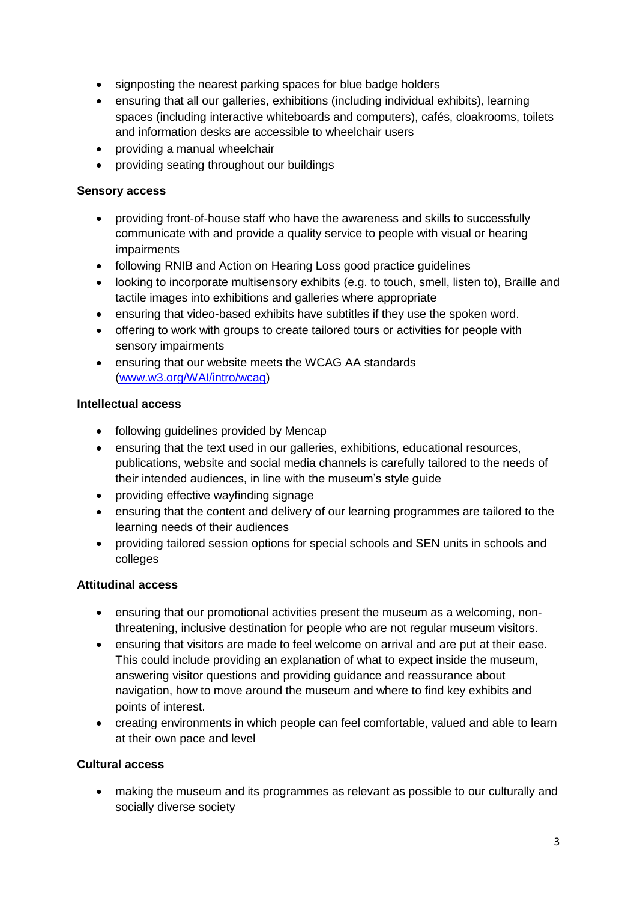- signposting the nearest parking spaces for blue badge holders
- ensuring that all our galleries, exhibitions (including individual exhibits), learning spaces (including interactive whiteboards and computers), cafés, cloakrooms, toilets and information desks are accessible to wheelchair users
- providing a manual wheelchair
- providing seating throughout our buildings

#### **Sensory access**

- providing front-of-house staff who have the awareness and skills to successfully communicate with and provide a quality service to people with visual or hearing impairments
- following RNIB and Action on Hearing Loss good practice guidelines
- looking to incorporate multisensory exhibits (e.g. to touch, smell, listen to), Braille and tactile images into exhibitions and galleries where appropriate
- ensuring that video-based exhibits have subtitles if they use the spoken word.
- offering to work with groups to create tailored tours or activities for people with sensory impairments
- ensuring that our website meets the WCAG AA standards [\(www.w3.org/WAI/intro/wcag\)](http://www.w3.org/WAI/intro/wcag)

#### **Intellectual access**

- following guidelines provided by Mencap
- ensuring that the text used in our galleries, exhibitions, educational resources, publications, website and social media channels is carefully tailored to the needs of their intended audiences, in line with the museum's style guide
- providing effective wayfinding signage
- ensuring that the content and delivery of our learning programmes are tailored to the learning needs of their audiences
- providing tailored session options for special schools and SEN units in schools and colleges

## **Attitudinal access**

- ensuring that our promotional activities present the museum as a welcoming, nonthreatening, inclusive destination for people who are not regular museum visitors.
- ensuring that visitors are made to feel welcome on arrival and are put at their ease. This could include providing an explanation of what to expect inside the museum, answering visitor questions and providing guidance and reassurance about navigation, how to move around the museum and where to find key exhibits and points of interest.
- creating environments in which people can feel comfortable, valued and able to learn at their own pace and level

## **Cultural access**

 making the museum and its programmes as relevant as possible to our culturally and socially diverse society